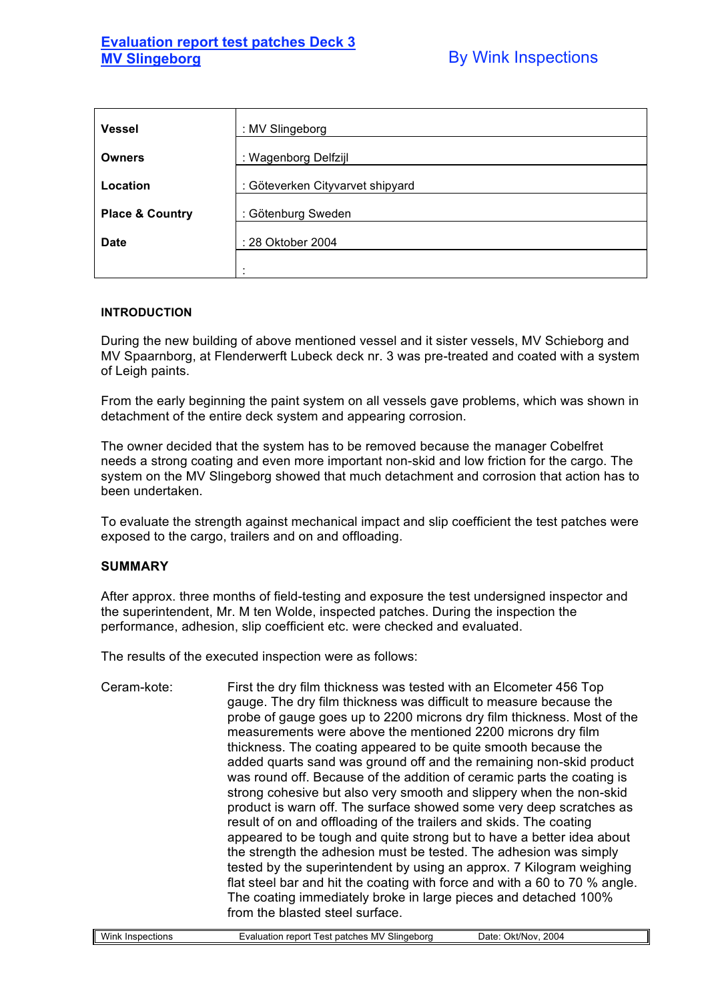## **Evaluation report test patches Deck 3 MV Slingeborg Community Community By Wink Inspections**

| <b>Vessel</b>              | : MV Slingeborg                  |
|----------------------------|----------------------------------|
| <b>Owners</b>              | : Wagenborg Delfzijl             |
| Location                   | : Göteverken Cityvarvet shipyard |
| <b>Place &amp; Country</b> | : Götenburg Sweden               |
| <b>Date</b>                | : 28 Oktober 2004                |
|                            |                                  |

## **INTRODUCTION**

During the new building of above mentioned vessel and it sister vessels, MV Schieborg and MV Spaarnborg, at Flenderwerft Lubeck deck nr. 3 was pre-treated and coated with a system of Leigh paints.

From the early beginning the paint system on all vessels gave problems, which was shown in detachment of the entire deck system and appearing corrosion.

The owner decided that the system has to be removed because the manager Cobelfret needs a strong coating and even more important non-skid and low friction for the cargo. The system on the MV Slingeborg showed that much detachment and corrosion that action has to been undertaken.

To evaluate the strength against mechanical impact and slip coefficient the test patches were exposed to the cargo, trailers and on and offloading.

## **SUMMARY**

After approx. three months of field-testing and exposure the test undersigned inspector and the superintendent, Mr. M ten Wolde, inspected patches. During the inspection the performance, adhesion, slip coefficient etc. were checked and evaluated.

The results of the executed inspection were as follows:

Ceram-kote: First the dry film thickness was tested with an Elcometer 456 Top gauge. The dry film thickness was difficult to measure because the probe of gauge goes up to 2200 microns dry film thickness. Most of the measurements were above the mentioned 2200 microns dry film thickness. The coating appeared to be quite smooth because the added quarts sand was ground off and the remaining non-skid product was round off. Because of the addition of ceramic parts the coating is strong cohesive but also very smooth and slippery when the non-skid product is warn off. The surface showed some very deep scratches as result of on and offloading of the trailers and skids. The coating appeared to be tough and quite strong but to have a better idea about the strength the adhesion must be tested. The adhesion was simply tested by the superintendent by using an approx. 7 Kilogram weighing flat steel bar and hit the coating with force and with a 60 to 70 % angle. The coating immediately broke in large pieces and detached 100% from the blasted steel surface.

| . .<br>\/\/i<br>$\sim$ $\sim$ $\sim$ $\sim$ $\sim$<br>∕Ink<br>f inspections | MV<br><b>- .</b><br>patches<br><b>Slingeborg</b><br>est<br>$-$<br>renor<br>.<br>Jation | 2004<br>. )ate<br>)kt<br>NOV<br>ີ |
|-----------------------------------------------------------------------------|----------------------------------------------------------------------------------------|-----------------------------------|
|                                                                             |                                                                                        |                                   |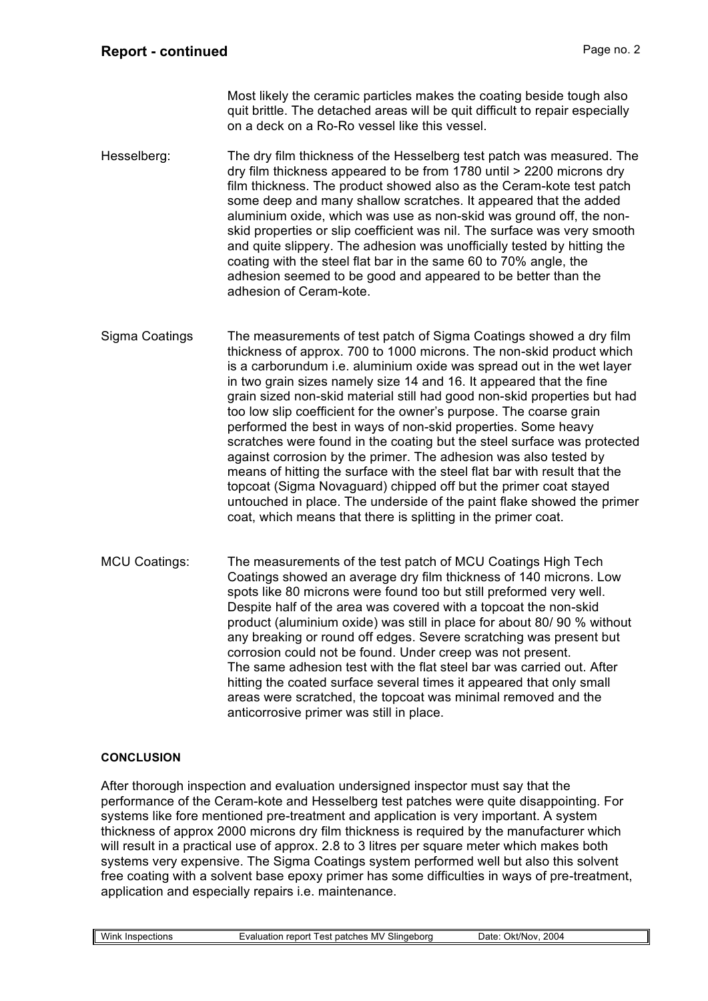Most likely the ceramic particles makes the coating beside tough also quit brittle. The detached areas will be quit difficult to repair especially on a deck on a Ro-Ro vessel like this vessel.

- Hesselberg: The dry film thickness of the Hesselberg test patch was measured. The dry film thickness appeared to be from 1780 until > 2200 microns dry film thickness. The product showed also as the Ceram-kote test patch some deep and many shallow scratches. It appeared that the added aluminium oxide, which was use as non-skid was ground off, the nonskid properties or slip coefficient was nil. The surface was very smooth and quite slippery. The adhesion was unofficially tested by hitting the coating with the steel flat bar in the same 60 to 70% angle, the adhesion seemed to be good and appeared to be better than the adhesion of Ceram-kote.
- Sigma Coatings The measurements of test patch of Sigma Coatings showed a dry film thickness of approx. 700 to 1000 microns. The non-skid product which is a carborundum i.e. aluminium oxide was spread out in the wet layer in two grain sizes namely size 14 and 16. It appeared that the fine grain sized non-skid material still had good non-skid properties but had too low slip coefficient for the owner's purpose. The coarse grain performed the best in ways of non-skid properties. Some heavy scratches were found in the coating but the steel surface was protected against corrosion by the primer. The adhesion was also tested by means of hitting the surface with the steel flat bar with result that the topcoat (Sigma Novaguard) chipped off but the primer coat stayed untouched in place. The underside of the paint flake showed the primer coat, which means that there is splitting in the primer coat.
- MCU Coatings: The measurements of the test patch of MCU Coatings High Tech Coatings showed an average dry film thickness of 140 microns. Low spots like 80 microns were found too but still preformed very well. Despite half of the area was covered with a topcoat the non-skid product (aluminium oxide) was still in place for about 80/ 90 % without any breaking or round off edges. Severe scratching was present but corrosion could not be found. Under creep was not present. The same adhesion test with the flat steel bar was carried out. After hitting the coated surface several times it appeared that only small areas were scratched, the topcoat was minimal removed and the anticorrosive primer was still in place.

## **CONCLUSION**

After thorough inspection and evaluation undersigned inspector must say that the performance of the Ceram-kote and Hesselberg test patches were quite disappointing. For systems like fore mentioned pre-treatment and application is very important. A system thickness of approx 2000 microns dry film thickness is required by the manufacturer which will result in a practical use of approx. 2.8 to 3 litres per square meter which makes both systems very expensive. The Sigma Coatings system performed well but also this solvent free coating with a solvent base epoxy primer has some difficulties in ways of pre-treatment, application and especially repairs i.e. maintenance.

| Wink<br>Inspections | patches MV<br>Slinaebora<br>≞valua<br>report<br>uation<br>est | 2004<br><b>Okt/Nov</b><br>Jate |
|---------------------|---------------------------------------------------------------|--------------------------------|
|                     |                                                               |                                |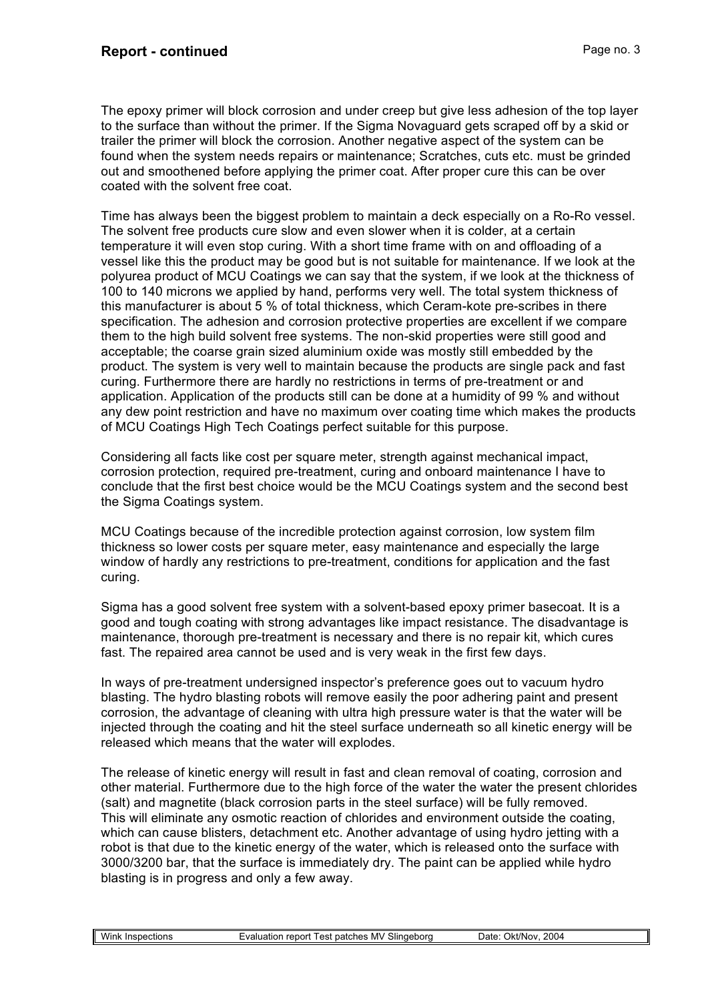The epoxy primer will block corrosion and under creep but give less adhesion of the top layer to the surface than without the primer. If the Sigma Novaguard gets scraped off by a skid or trailer the primer will block the corrosion. Another negative aspect of the system can be found when the system needs repairs or maintenance; Scratches, cuts etc. must be grinded out and smoothened before applying the primer coat. After proper cure this can be over coated with the solvent free coat.

Time has always been the biggest problem to maintain a deck especially on a Ro-Ro vessel. The solvent free products cure slow and even slower when it is colder, at a certain temperature it will even stop curing. With a short time frame with on and offloading of a vessel like this the product may be good but is not suitable for maintenance. If we look at the polyurea product of MCU Coatings we can say that the system, if we look at the thickness of 100 to 140 microns we applied by hand, performs very well. The total system thickness of this manufacturer is about 5 % of total thickness, which Ceram-kote pre-scribes in there specification. The adhesion and corrosion protective properties are excellent if we compare them to the high build solvent free systems. The non-skid properties were still good and acceptable; the coarse grain sized aluminium oxide was mostly still embedded by the product. The system is very well to maintain because the products are single pack and fast curing. Furthermore there are hardly no restrictions in terms of pre-treatment or and application. Application of the products still can be done at a humidity of 99 % and without any dew point restriction and have no maximum over coating time which makes the products of MCU Coatings High Tech Coatings perfect suitable for this purpose.

Considering all facts like cost per square meter, strength against mechanical impact, corrosion protection, required pre-treatment, curing and onboard maintenance I have to conclude that the first best choice would be the MCU Coatings system and the second best the Sigma Coatings system.

MCU Coatings because of the incredible protection against corrosion, low system film thickness so lower costs per square meter, easy maintenance and especially the large window of hardly any restrictions to pre-treatment, conditions for application and the fast curing.

Sigma has a good solvent free system with a solvent-based epoxy primer basecoat. It is a good and tough coating with strong advantages like impact resistance. The disadvantage is maintenance, thorough pre-treatment is necessary and there is no repair kit, which cures fast. The repaired area cannot be used and is very weak in the first few days.

In ways of pre-treatment undersigned inspector's preference goes out to vacuum hydro blasting. The hydro blasting robots will remove easily the poor adhering paint and present corrosion, the advantage of cleaning with ultra high pressure water is that the water will be injected through the coating and hit the steel surface underneath so all kinetic energy will be released which means that the water will explodes.

The release of kinetic energy will result in fast and clean removal of coating, corrosion and other material. Furthermore due to the high force of the water the water the present chlorides (salt) and magnetite (black corrosion parts in the steel surface) will be fully removed. This will eliminate any osmotic reaction of chlorides and environment outside the coating, which can cause blisters, detachment etc. Another advantage of using hydro jetting with a robot is that due to the kinetic energy of the water, which is released onto the surface with 3000/3200 bar, that the surface is immediately dry. The paint can be applied while hydro blasting is in progress and only a few away.